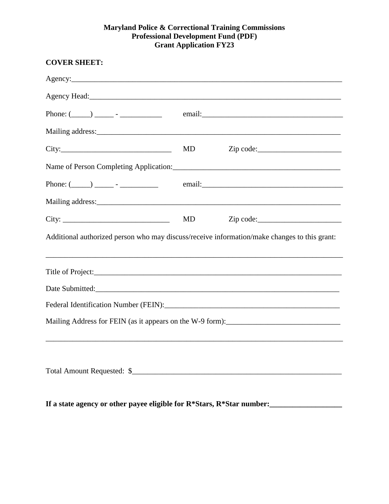## **Maryland Police & Correctional Training Commissions Professional Development Fund (PDF) Grant Application FY23**

| Phone: $(\_\_)$ $\_\_$ - $\_\_$                                                              |    |                                                                                  |  |  |  |
|----------------------------------------------------------------------------------------------|----|----------------------------------------------------------------------------------|--|--|--|
|                                                                                              |    |                                                                                  |  |  |  |
|                                                                                              | MD | Zip code:                                                                        |  |  |  |
|                                                                                              |    |                                                                                  |  |  |  |
| Phone: $(\_\_)$ $\_\_$ - $\_\_$                                                              |    |                                                                                  |  |  |  |
|                                                                                              |    |                                                                                  |  |  |  |
| City:                                                                                        | MD |                                                                                  |  |  |  |
| Additional authorized person who may discuss/receive information/make changes to this grant: |    |                                                                                  |  |  |  |
|                                                                                              |    |                                                                                  |  |  |  |
| Date Submitted:                                                                              |    |                                                                                  |  |  |  |
|                                                                                              |    |                                                                                  |  |  |  |
| Mailing Address for FEIN (as it appears on the W-9 form):________________________            |    | ,我们也不会有什么。""我们的人,我们也不会有什么?""我们的人,我们也不会有什么?""我们的人,我们也不会有什么?""我们的人,我们也不会有什么?""我们的人 |  |  |  |
|                                                                                              |    |                                                                                  |  |  |  |
|                                                                                              |    |                                                                                  |  |  |  |
| If a state agency or other payee eligible for R*Stars, R*Star number:                        |    |                                                                                  |  |  |  |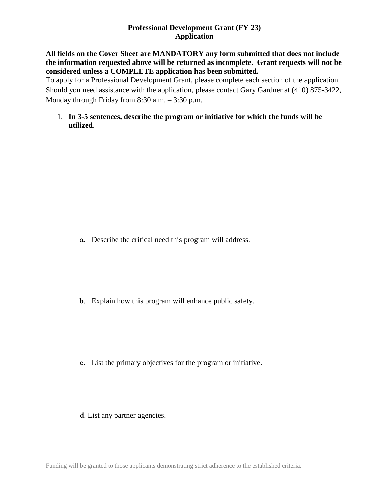## **Professional Development Grant (FY 23) Application**

### **All fields on the Cover Sheet are MANDATORY any form submitted that does not include the information requested above will be returned as incomplete. Grant requests will not be considered unless a COMPLETE application has been submitted.**

To apply for a Professional Development Grant, please complete each section of the application. Should you need assistance with the application, please contact Gary Gardner at (410) 875-3422, Monday through Friday from 8:30 a.m. – 3:30 p.m.

1. **In 3-5 sentences, describe the program or initiative for which the funds will be utilized**.

a. Describe the critical need this program will address.

b. Explain how this program will enhance public safety.

- c. List the primary objectives for the program or initiative.
- d. List any partner agencies.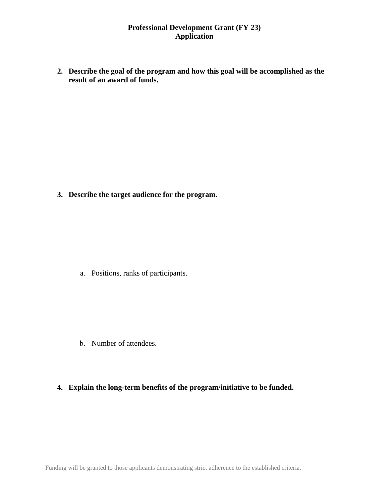## **Professional Development Grant (FY 23) Application**

**2. Describe the goal of the program and how this goal will be accomplished as the result of an award of funds.**

**3. Describe the target audience for the program.**

a. Positions, ranks of participants.

b. Number of attendees.

# **4. Explain the long-term benefits of the program/initiative to be funded.**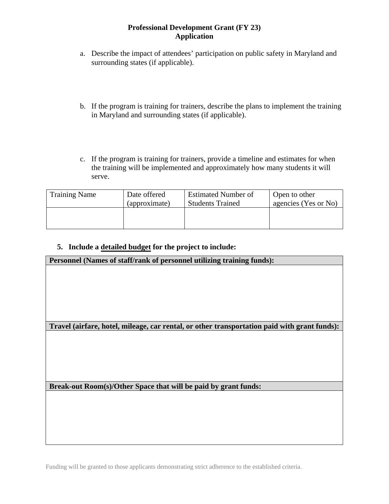### **Professional Development Grant (FY 23) Application**

- a. Describe the impact of attendees' participation on public safety in Maryland and surrounding states (if applicable).
- b. If the program is training for trainers, describe the plans to implement the training in Maryland and surrounding states (if applicable).
- c. If the program is training for trainers, provide a timeline and estimates for when the training will be implemented and approximately how many students it will serve.

| <b>Training Name</b> | Date offered  | <b>Estimated Number of</b> | Open to other        |
|----------------------|---------------|----------------------------|----------------------|
|                      | (approximate) | <b>Students Trained</b>    | agencies (Yes or No) |
|                      |               |                            |                      |

# **5. Include a detailed budget for the project to include:**

| Personnel (Names of staff/rank of personnel utilizing training funds):                       |  |  |
|----------------------------------------------------------------------------------------------|--|--|
|                                                                                              |  |  |
|                                                                                              |  |  |
|                                                                                              |  |  |
|                                                                                              |  |  |
|                                                                                              |  |  |
|                                                                                              |  |  |
| Travel (airfare, hotel, mileage, car rental, or other transportation paid with grant funds): |  |  |
|                                                                                              |  |  |
|                                                                                              |  |  |
|                                                                                              |  |  |
|                                                                                              |  |  |
|                                                                                              |  |  |
| Break-out Room(s)/Other Space that will be paid by grant funds:                              |  |  |
|                                                                                              |  |  |
|                                                                                              |  |  |
|                                                                                              |  |  |

Funding will be granted to those applicants demonstrating strict adherence to the established criteria.